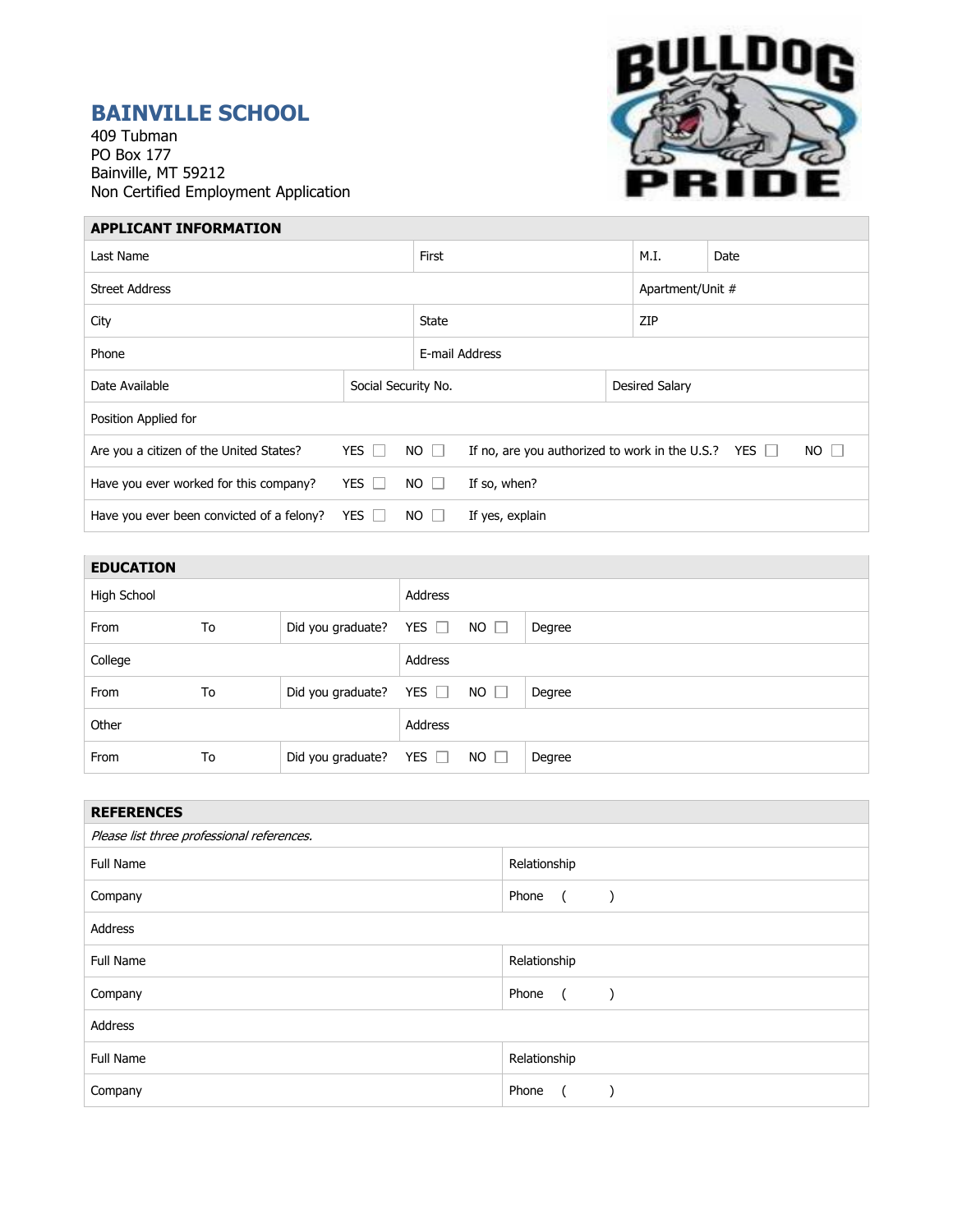## **BAINVILLE SCHOOL**

409 Tubman PO Box 177 Bainville, MT 59212 Non Certified Employment Application



## **APPLICANT INFORMATION**

| Last Name                                 |            |                                                                          | First           |  |                  | Date        |  |  |
|-------------------------------------------|------------|--------------------------------------------------------------------------|-----------------|--|------------------|-------------|--|--|
| <b>Street Address</b>                     |            |                                                                          |                 |  | Apartment/Unit # |             |  |  |
| City                                      |            |                                                                          | <b>State</b>    |  |                  | ZIP         |  |  |
| Phone                                     |            |                                                                          | E-mail Address  |  |                  |             |  |  |
| Date Available                            |            | Social Security No.                                                      |                 |  | Desired Salary   |             |  |  |
| Position Applied for                      |            |                                                                          |                 |  |                  |             |  |  |
| Are you a citizen of the United States?   | YES $\Box$ | $NO$ $\Box$<br>If no, are you authorized to work in the U.S.? YES $\Box$ |                 |  |                  | $NO$ $\Box$ |  |  |
| Have you ever worked for this company?    | YES I      | $NO$ $\Box$                                                              | If so, when?    |  |                  |             |  |  |
| Have you ever been convicted of a felony? | YES $\Box$ | $NO \Box$                                                                | If yes, explain |  |                  |             |  |  |

| <b>EDUCATION</b> |    |                              |            |             |        |
|------------------|----|------------------------------|------------|-------------|--------|
| High School      |    |                              | Address    |             |        |
| From             | To | Did you graduate?            | YES $\Box$ | $NO$ $\Box$ | Degree |
| College          |    |                              | Address    |             |        |
| From             | To | Did you graduate?            | YES $\Box$ | $NO$ $\Box$ | Degree |
| Other            |    |                              | Address    |             |        |
| From             | To | Did you graduate? YES $\Box$ |            | $NO$ $\Box$ | Degree |

| <b>REFERENCES</b>                          |                                          |  |  |  |
|--------------------------------------------|------------------------------------------|--|--|--|
| Please list three professional references. |                                          |  |  |  |
| <b>Full Name</b>                           | Relationship                             |  |  |  |
| Company                                    | Phone<br>$\sqrt{2}$<br>$\rightarrow$     |  |  |  |
| Address                                    |                                          |  |  |  |
| <b>Full Name</b>                           | Relationship                             |  |  |  |
| Company                                    | Phone<br>$\overline{a}$<br>$\rightarrow$ |  |  |  |
| Address                                    |                                          |  |  |  |
| <b>Full Name</b>                           | Relationship                             |  |  |  |
| Company                                    | Phone<br>$\sqrt{2}$                      |  |  |  |